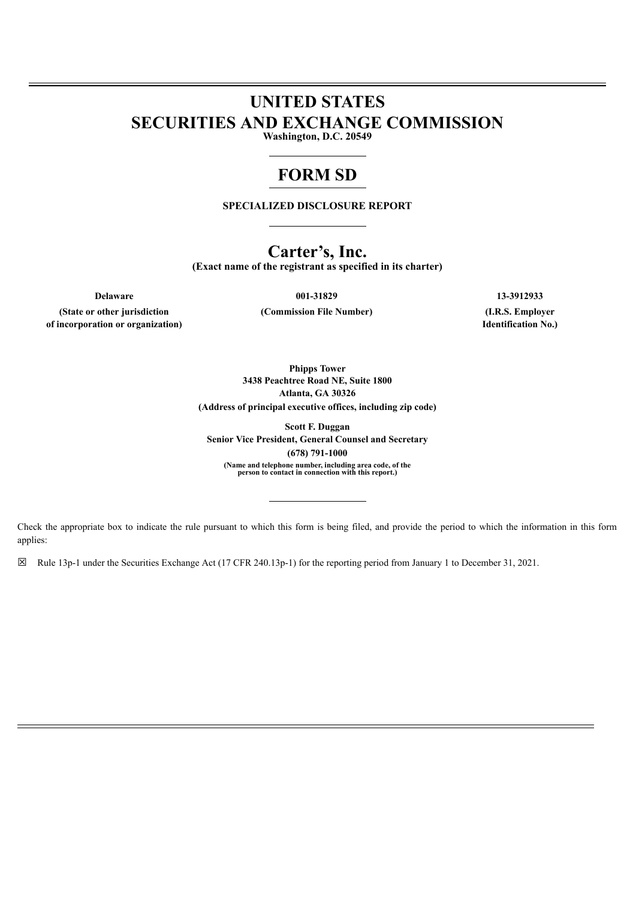# **UNITED STATES SECURITIES AND EXCHANGE COMMISSION**

**Washington, D.C. 20549**

## **FORM SD**

**SPECIALIZED DISCLOSURE REPORT**

### **Carter's, Inc.**

**(Exact name of the registrant as specified in its charter)**

**(State or other jurisdiction of incorporation or organization)**

**Delaware 001-31829 13-3912933**

**(Commission File Number) (I.R.S. Employer**

**Identification No.)**

**Phipps Tower 3438 Peachtree Road NE, Suite 1800 Atlanta, GA 30326 (Address of principal executive offices, including zip code)**

**Scott F. Duggan Senior Vice President, General Counsel and Secretary (678) 791-1000** (Name and telephone number, including area code, of the<br>person to contact in connection with this report.)

Check the appropriate box to indicate the rule pursuant to which this form is being filed, and provide the period to which the information in this form applies:

☒ Rule 13p-1 under the Securities Exchange Act (17 CFR 240.13p-1) for the reporting period from January 1 to December 31, 2021.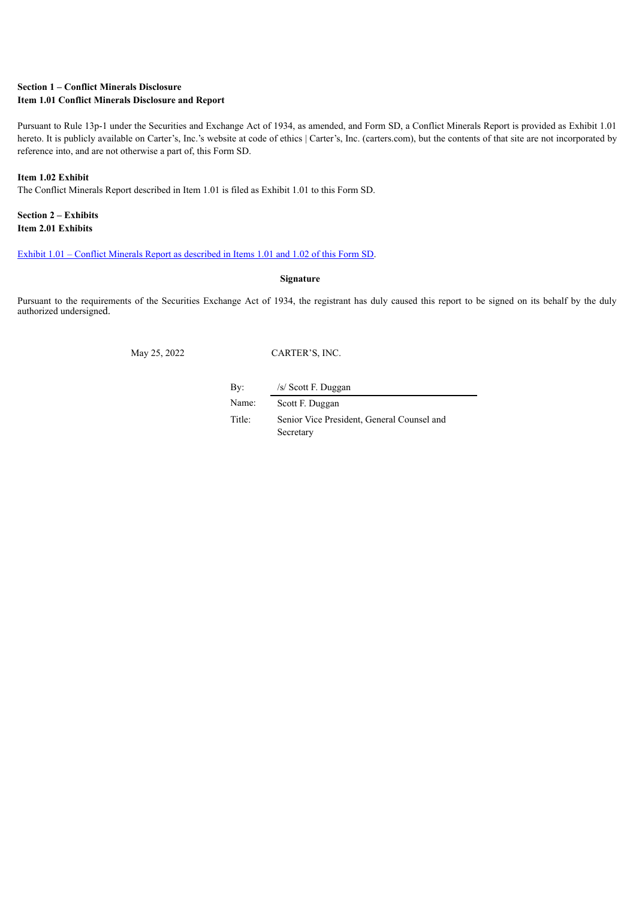#### **Section 1 – Conflict Minerals Disclosure Item 1.01 Conflict Minerals Disclosure and Report**

Pursuant to Rule 13p-1 under the Securities and Exchange Act of 1934, as amended, and Form SD, a Conflict Minerals Report is provided as Exhibit 1.01 hereto. It is publicly available on Carter's, Inc.'s website at code of ethics | Carter's, Inc. (carters.com), but the contents of that site are not incorporated by reference into, and are not otherwise a part of, this Form SD.

#### **Item 1.02 Exhibit**

The Conflict Minerals Report described in Item 1.01 is filed as Exhibit 1.01 to this Form SD.

#### **Section 2 – Exhibits Item 2.01 Exhibits**

#### Exhibit 1.01 – Conflict Minerals Report as [described](#page-2-0) in Items 1.01 and 1.02 of this Form SD.

#### **Signature**

Pursuant to the requirements of the Securities Exchange Act of 1934, the registrant has duly caused this report to be signed on its behalf by the duly authorized undersigned.

May 25, 2022 CARTER'S, INC.

By: /s/ Scott F. Duggan

Name: Scott F. Duggan

Title: Senior Vice President, General Counsel and Secretary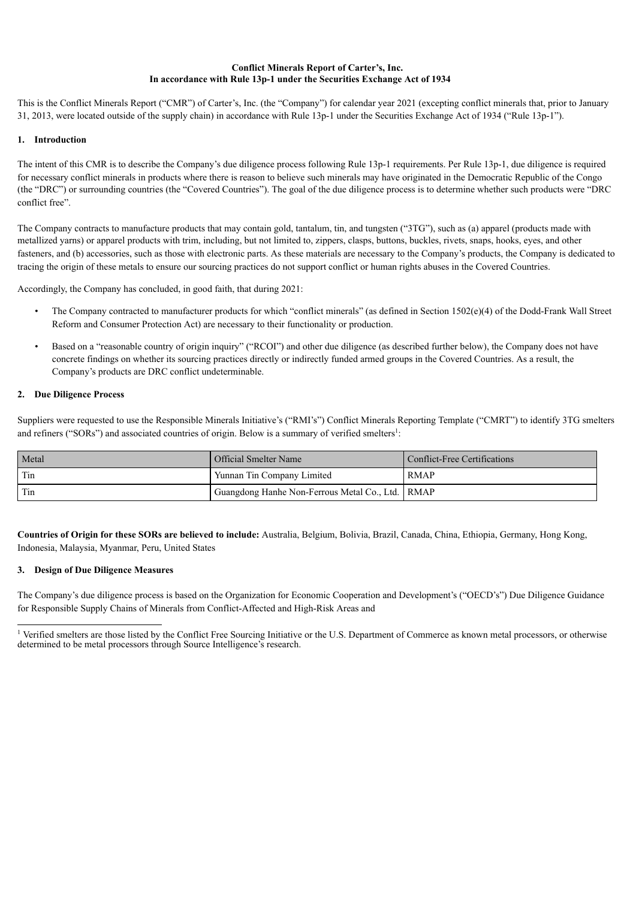#### **Conflict Minerals Report of Carter's, Inc. In accordance with Rule 13p-1 under the Securities Exchange Act of 1934**

<span id="page-2-0"></span>This is the Conflict Minerals Report ("CMR") of Carter's, Inc. (the "Company") for calendar year 2021 (excepting conflict minerals that, prior to January 31, 2013, were located outside of the supply chain) in accordance with Rule 13p-1 under the Securities Exchange Act of 1934 ("Rule 13p-1").

#### **1. Introduction**

The intent of this CMR is to describe the Company's due diligence process following Rule 13p-1 requirements. Per Rule 13p-1, due diligence is required for necessary conflict minerals in products where there is reason to believe such minerals may have originated in the Democratic Republic of the Congo (the "DRC") or surrounding countries (the "Covered Countries"). The goal of the due diligence process is to determine whether such products were "DRC conflict free".

The Company contracts to manufacture products that may contain gold, tantalum, tin, and tungsten ("3TG"), such as (a) apparel (products made with metallized yarns) or apparel products with trim, including, but not limited to, zippers, clasps, buttons, buckles, rivets, snaps, hooks, eyes, and other fasteners, and (b) accessories, such as those with electronic parts. As these materials are necessary to the Company's products, the Company is dedicated to tracing the origin of these metals to ensure our sourcing practices do not support conflict or human rights abuses in the Covered Countries.

Accordingly, the Company has concluded, in good faith, that during 2021:

- The Company contracted to manufacturer products for which "conflict minerals" (as defined in Section 1502(e)(4) of the Dodd-Frank Wall Street Reform and Consumer Protection Act) are necessary to their functionality or production.
- Based on a "reasonable country of origin inquiry" ("RCOI") and other due diligence (as described further below), the Company does not have concrete findings on whether its sourcing practices directly or indirectly funded armed groups in the Covered Countries. As a result, the Company's products are DRC conflict undeterminable.

#### **2. Due Diligence Process**

Suppliers were requested to use the Responsible Minerals Initiative's ("RMI's") Conflict Minerals Reporting Template ("CMRT") to identify 3TG smelters and refiners ("SORs") and associated countries of origin. Below is a summary of verified smelters<sup>1</sup>:

| Metal | Official Smelter Name                              | Conflict-Free Certifications |
|-------|----------------------------------------------------|------------------------------|
| Tin   | Yunnan Tin Company Limited                         | <b>RMAP</b>                  |
| Tin   | Guangdong Hanhe Non-Ferrous Metal Co., Ltd.   RMAP |                              |

**Countries of Origin for these SORs are believed to include:** Australia, Belgium, Bolivia, Brazil, Canada, China, Ethiopia, Germany, Hong Kong, Indonesia, Malaysia, Myanmar, Peru, United States

#### **3. Design of Due Diligence Measures**

The Company's due diligence process is based on the Organization for Economic Cooperation and Development's ("OECD's") Due Diligence Guidance for Responsible Supply Chains of Minerals from Conflict-Affected and High-Risk Areas and

<sup>&</sup>lt;sup>1</sup> Verified smelters are those listed by the Conflict Free Sourcing Initiative or the U.S. Department of Commerce as known metal processors, or otherwise determined to be metal processors through Source Intelligence's research.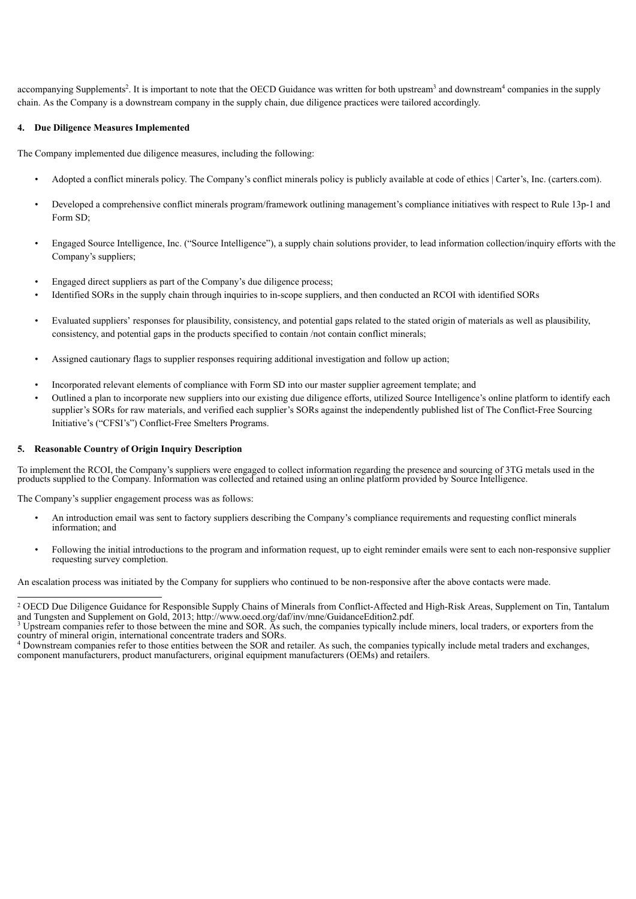accompanying Supplements<sup>2</sup>. It is important to note that the OECD Guidance was written for both upstream<sup>3</sup> and downstream<sup>4</sup> companies in the supply chain. As the Company is a downstream company in the supply chain, due diligence practices were tailored accordingly.

#### **4. Due Diligence Measures Implemented**

The Company implemented due diligence measures, including the following:

- Adopted a conflict minerals policy. The Company's conflict minerals policy is publicly available at code of ethics | Carter's, Inc. (carters.com).
- Developed a comprehensive conflict minerals program/framework outlining management's compliance initiatives with respect to Rule 13p-1 and Form SD;
- Engaged Source Intelligence, Inc. ("Source Intelligence"), a supply chain solutions provider, to lead information collection/inquiry efforts with the Company's suppliers;
- Engaged direct suppliers as part of the Company's due diligence process;
- Identified SORs in the supply chain through inquiries to in-scope suppliers, and then conducted an RCOI with identified SORs
- Evaluated suppliers' responses for plausibility, consistency, and potential gaps related to the stated origin of materials as well as plausibility, consistency, and potential gaps in the products specified to contain /not contain conflict minerals;
- Assigned cautionary flags to supplier responses requiring additional investigation and follow up action;
- Incorporated relevant elements of compliance with Form SD into our master supplier agreement template; and
- Outlined a plan to incorporate new suppliers into our existing due diligence efforts, utilized Source Intelligence's online platform to identify each supplier's SORs for raw materials, and verified each supplier's SORs against the independently published list of The Conflict-Free Sourcing Initiative's ("CFSI's") Conflict-Free Smelters Programs.

#### **5. Reasonable Country of Origin Inquiry Description**

To implement the RCOI, the Company's suppliers were engaged to collect information regarding the presence and sourcing of 3TG metals used in the products supplied to the Company. Information was collected and retained using an online platform provided by Source Intelligence.

The Company's supplier engagement process was as follows:

- An introduction email was sent to factory suppliers describing the Company's compliance requirements and requesting conflict minerals information; and
- Following the initial introductions to the program and information request, up to eight reminder emails were sent to each non-responsive supplier requesting survey completion.

An escalation process was initiated by the Company for suppliers who continued to be non-responsive after the above contacts were made.

<sup>&</sup>lt;sup>2</sup> OECD Due Diligence Guidance for Responsible Supply Chains of Minerals from Conflict-Affected and High-Risk Areas, Supplement on Tin, Tantalum and Tungsten and Supplement on Gold, 2013; http://www.oecd.org/daf/inv/mne/GuidanceEdition2.pdf.

 $3$  Upstream companies refer to those between the mine and SOR. As such, the companies typically include miners, local traders, or exporters from the country of mineral origin, international concentrate traders and SORs.

<sup>&</sup>lt;sup>4</sup> Downstream companies refer to those entities between the SOR and retailer. As such, the companies typically include metal traders and exchanges, component manufacturers, product manufacturers, original equipment manufacturers (OEMs) and retailers.